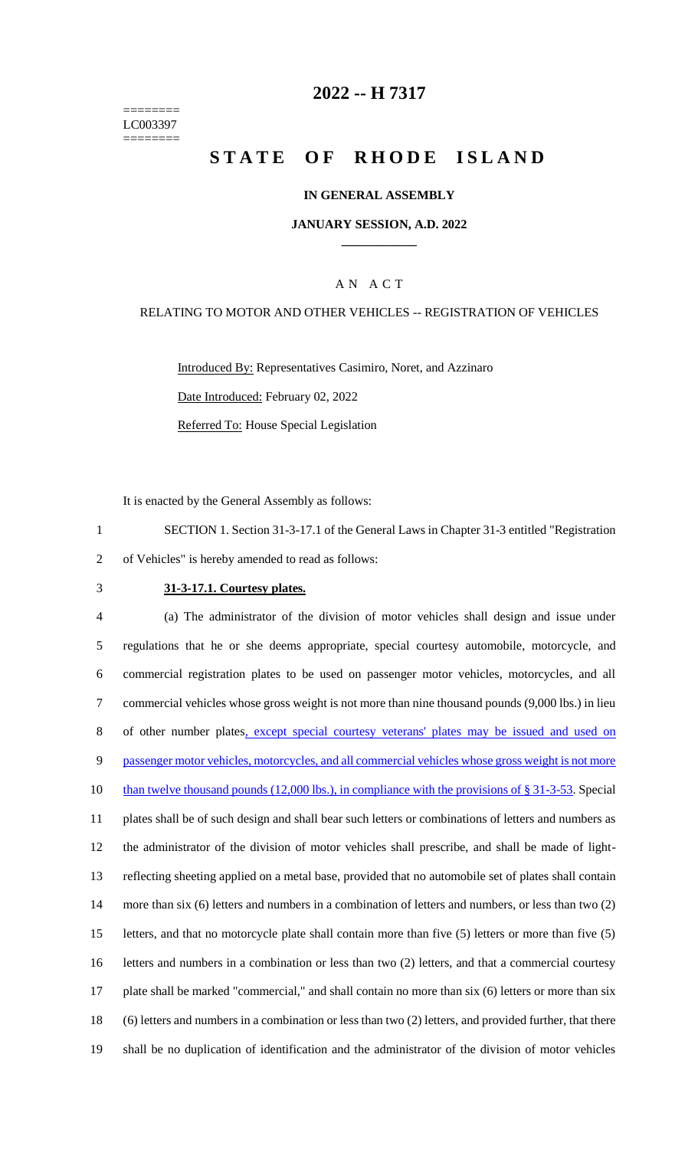======== LC003397 ========

## **2022 -- H 7317**

# **STATE OF RHODE ISLAND**

#### **IN GENERAL ASSEMBLY**

#### **JANUARY SESSION, A.D. 2022 \_\_\_\_\_\_\_\_\_\_\_\_**

#### A N A C T

#### RELATING TO MOTOR AND OTHER VEHICLES -- REGISTRATION OF VEHICLES

Introduced By: Representatives Casimiro, Noret, and Azzinaro Date Introduced: February 02, 2022 Referred To: House Special Legislation

It is enacted by the General Assembly as follows:

1 SECTION 1. Section 31-3-17.1 of the General Laws in Chapter 31-3 entitled "Registration 2 of Vehicles" is hereby amended to read as follows:

#### 3 **31-3-17.1. Courtesy plates.**

 (a) The administrator of the division of motor vehicles shall design and issue under regulations that he or she deems appropriate, special courtesy automobile, motorcycle, and commercial registration plates to be used on passenger motor vehicles, motorcycles, and all commercial vehicles whose gross weight is not more than nine thousand pounds (9,000 lbs.) in lieu 8 of other number plates, except special courtesy veterans' plates may be issued and used on 9 passenger motor vehicles, motorcycles, and all commercial vehicles whose gross weight is not more 10 than twelve thousand pounds (12,000 lbs.), in compliance with the provisions of § 31-3-53. Special plates shall be of such design and shall bear such letters or combinations of letters and numbers as the administrator of the division of motor vehicles shall prescribe, and shall be made of light- reflecting sheeting applied on a metal base, provided that no automobile set of plates shall contain more than six (6) letters and numbers in a combination of letters and numbers, or less than two (2) letters, and that no motorcycle plate shall contain more than five (5) letters or more than five (5) letters and numbers in a combination or less than two (2) letters, and that a commercial courtesy plate shall be marked "commercial," and shall contain no more than six (6) letters or more than six (6) letters and numbers in a combination or less than two (2) letters, and provided further, that there shall be no duplication of identification and the administrator of the division of motor vehicles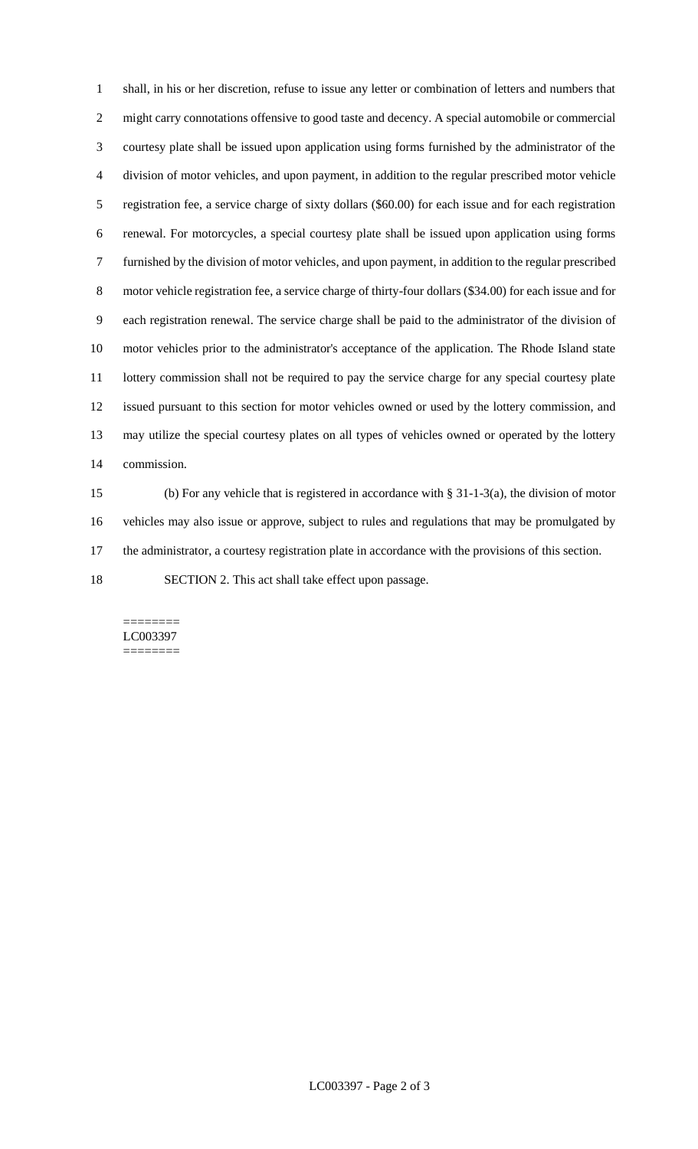shall, in his or her discretion, refuse to issue any letter or combination of letters and numbers that might carry connotations offensive to good taste and decency. A special automobile or commercial courtesy plate shall be issued upon application using forms furnished by the administrator of the division of motor vehicles, and upon payment, in addition to the regular prescribed motor vehicle registration fee, a service charge of sixty dollars (\$60.00) for each issue and for each registration renewal. For motorcycles, a special courtesy plate shall be issued upon application using forms furnished by the division of motor vehicles, and upon payment, in addition to the regular prescribed motor vehicle registration fee, a service charge of thirty-four dollars (\$34.00) for each issue and for each registration renewal. The service charge shall be paid to the administrator of the division of motor vehicles prior to the administrator's acceptance of the application. The Rhode Island state lottery commission shall not be required to pay the service charge for any special courtesy plate issued pursuant to this section for motor vehicles owned or used by the lottery commission, and may utilize the special courtesy plates on all types of vehicles owned or operated by the lottery commission.

 (b) For any vehicle that is registered in accordance with § 31-1-3(a), the division of motor vehicles may also issue or approve, subject to rules and regulations that may be promulgated by the administrator, a courtesy registration plate in accordance with the provisions of this section.

SECTION 2. This act shall take effect upon passage.

======== LC003397 ========